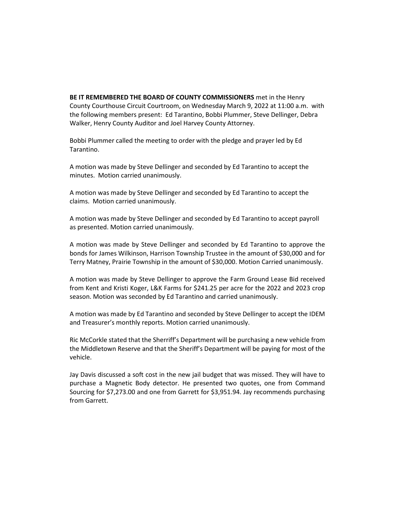**BE IT REMEMBERED THE BOARD OF COUNTY COMMISSIONERS** met in the Henry County Courthouse Circuit Courtroom, on Wednesday March 9, 2022 at 11:00 a.m. with the following members present: Ed Tarantino, Bobbi Plummer, Steve Dellinger, Debra Walker, Henry County Auditor and Joel Harvey County Attorney.

Bobbi Plummer called the meeting to order with the pledge and prayer led by Ed Tarantino.

A motion was made by Steve Dellinger and seconded by Ed Tarantino to accept the minutes. Motion carried unanimously.

A motion was made by Steve Dellinger and seconded by Ed Tarantino to accept the claims. Motion carried unanimously.

A motion was made by Steve Dellinger and seconded by Ed Tarantino to accept payroll as presented. Motion carried unanimously.

A motion was made by Steve Dellinger and seconded by Ed Tarantino to approve the bonds for James Wilkinson, Harrison Township Trustee in the amount of \$30,000 and for Terry Matney, Prairie Township in the amount of \$30,000. Motion Carried unanimously.

A motion was made by Steve Dellinger to approve the Farm Ground Lease Bid received from Kent and Kristi Koger, L&K Farms for \$241.25 per acre for the 2022 and 2023 crop season. Motion was seconded by Ed Tarantino and carried unanimously.

A motion was made by Ed Tarantino and seconded by Steve Dellinger to accept the IDEM and Treasurer's monthly reports. Motion carried unanimously.

Ric McCorkle stated that the Sherriff's Department will be purchasing a new vehicle from the Middletown Reserve and that the Sheriff's Department will be paying for most of the vehicle.

Jay Davis discussed a soft cost in the new jail budget that was missed. They will have to purchase a Magnetic Body detector. He presented two quotes, one from Command Sourcing for \$7,273.00 and one from Garrett for \$3,951.94. Jay recommends purchasing from Garrett.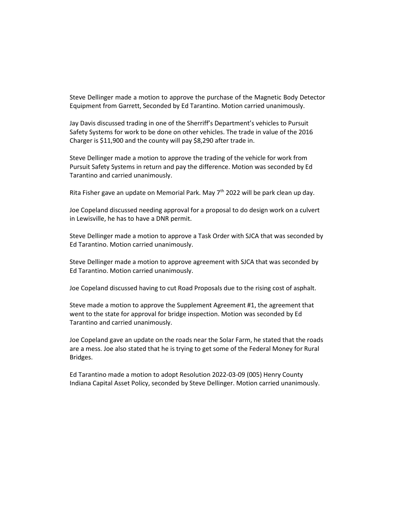Steve Dellinger made a motion to approve the purchase of the Magnetic Body Detector Equipment from Garrett, Seconded by Ed Tarantino. Motion carried unanimously.

Jay Davis discussed trading in one of the Sherriff's Department's vehicles to Pursuit Safety Systems for work to be done on other vehicles. The trade in value of the 2016 Charger is \$11,900 and the county will pay \$8,290 after trade in.

Steve Dellinger made a motion to approve the trading of the vehicle for work from Pursuit Safety Systems in return and pay the difference. Motion was seconded by Ed Tarantino and carried unanimously.

Rita Fisher gave an update on Memorial Park. May  $7<sup>th</sup>$  2022 will be park clean up day.

Joe Copeland discussed needing approval for a proposal to do design work on a culvert in Lewisville, he has to have a DNR permit.

Steve Dellinger made a motion to approve a Task Order with SJCA that was seconded by Ed Tarantino. Motion carried unanimously.

Steve Dellinger made a motion to approve agreement with SJCA that was seconded by Ed Tarantino. Motion carried unanimously.

Joe Copeland discussed having to cut Road Proposals due to the rising cost of asphalt.

Steve made a motion to approve the Supplement Agreement #1, the agreement that went to the state for approval for bridge inspection. Motion was seconded by Ed Tarantino and carried unanimously.

Joe Copeland gave an update on the roads near the Solar Farm, he stated that the roads are a mess. Joe also stated that he is trying to get some of the Federal Money for Rural Bridges.

Ed Tarantino made a motion to adopt Resolution 2022-03-09 (005) Henry County Indiana Capital Asset Policy, seconded by Steve Dellinger. Motion carried unanimously.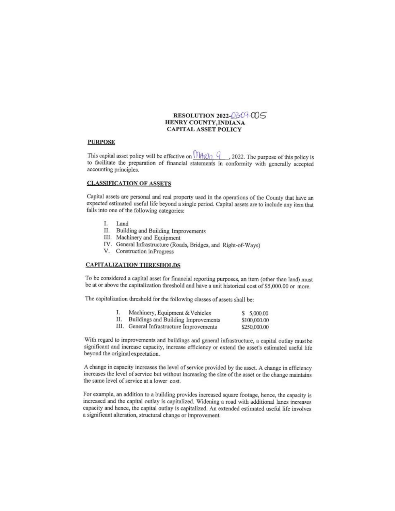### RESOLUTION 2022-0309-005 HENRY COUNTY, INDIANA **CAPITAL ASSET POLICY**

#### **PURPOSE**

This capital asset policy will be effective on  $\sqrt{\frac{\text{ln}(\text{ln})}{\text{ln}}}$ , 2022. The purpose of this policy is to facilitate the preparation of financial statements in conformity with generally accepted accounting principles.

#### **CLASSIFICATION OF ASSETS**

Capital assets are personal and real property used in the operations of the County that have an expected estimated useful life beyond a single period. Capital assets are to include any item that falls into one of the following categories:

- I. Land
- II. Building and Building Improvements
- III. Machinery and Equipment
- IV. General Infrastructure (Roads, Bridges, and Right-of-Ways)
- V. Construction in Progress

### **CAPITALIZATION THRESHOLDS**

To be considered a capital asset for financial reporting purposes, an item (other than land) must be at or above the capitalization threshold and have a unit historical cost of \$5,000.00 or more.

The capitalization threshold for the following classes of assets shall be:

| Ι. | Machinery, Equipment & Vehicles          | \$5,000.00   |
|----|------------------------------------------|--------------|
| П. | Buildings and Building Improvements      | \$100,000.00 |
|    | III. General Infrastructure Improvements | \$250,000.00 |

With regard to improvements and buildings and general infrastructure, a capital outlay must be significant and increase capacity, increase efficiency or extend the asset's estimated useful life beyond the original expectation.

A change in capacity increases the level of service provided by the asset. A change in efficiency increases the level of service but without increasing the size of the asset or the change maintains the same level of service at a lower cost.

For example, an addition to a building provides increased square footage, hence, the capacity is increased and the capital outlay is capitalized. Widening a road with additional lanes increases capacity and hence, the capital outlay is capitalized. An extended estimated useful life involves a significant alteration, structural change or improvement.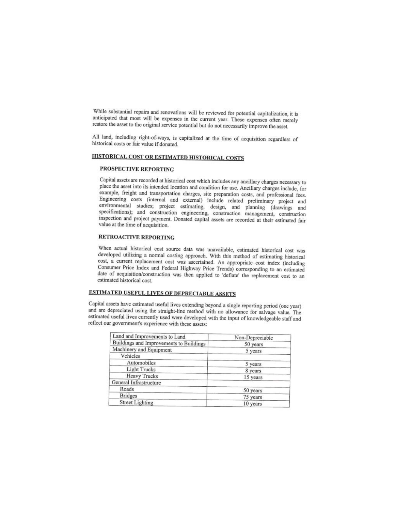While substantial repairs and renovations will be reviewed for potential capitalization, it is anticipated that most will be expenses in the current year. These expenses often merely restore the asset to the original service potential but do not necessarily improve the asset.

All land, including right-of-ways, is capitalized at the time of acquisition regardless of historical costs or fair value if donated.

# HISTORICAL COST OR ESTIMATED HISTORICAL COSTS

## PROSPECTIVE REPORTING

Capital assets are recorded at historical cost which includes any ancillary charges necessary to place the asset into its intended location and condition for use. Ancillary charges include, for example, freight and transportation charges, site preparation costs, and professional fees. Engineering costs (internal and external) include related preliminary project and environmental studies; project estimating, design, and planning (drawings and specifications); and construction engineering, construction management, construction inspection and project payment. Donated capital assets are recorded at their estimated fair value at the time of acquisition.

#### **RETROACTIVE REPORTING**

When actual historical cost source data was unavailable, estimated historical cost was developed utilizing a normal costing approach. With this method of estimating historical cost, a current replacement cost was ascertained. An appropriate cost index (including Consumer Price Index and Federal Highway Price Trends) corresponding to an estimated date of acquisition/construction was then applied to 'deflate' the replacement cost to an estimated historical cost.

## **ESTIMATED USEFUL LIVES OF DEPRECIABLE ASSETS**

Capital assets have estimated useful lives extending beyond a single reporting period (one year) and are depreciated using the straight-line method with no allowance for salvage value. The estimated useful lives currently used were developed with the input of knowledgeable staff and reflect our government's experience with these assets:

| Land and Improvements to Land           | Non-Depreciable |
|-----------------------------------------|-----------------|
| Buildings and Improvements to Buildings | 50 years        |
| Machinery and Equipment                 | 5 years         |
| Vehicles                                |                 |
| Automobiles                             | 5 years         |
| <b>Light Trucks</b>                     | 8 years         |
| <b>Heavy Trucks</b>                     | 15 years        |
| General Infrastructure                  |                 |
| Roads                                   | 50 years        |
| <b>Bridges</b>                          | 75 years        |
| <b>Street Lighting</b>                  | 10 years        |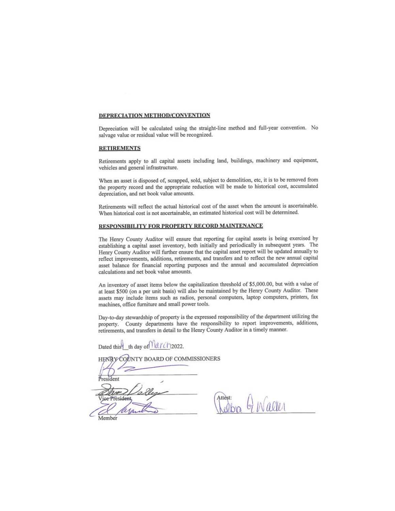#### DEPRECIATION METHOD/CONVENTION

Depreciation will be calculated using the straight-line method and full-year convention. No salvage value or residual value will be recognized.

#### **RETIREMENTS**

Retirements apply to all capital assets including land, buildings, machinery and equipment, vehicles and general infrastructure.

When an asset is disposed of, scrapped, sold, subject to demolition, etc, it is to be removed from the property record and the appropriate reduction will be made to historical cost, accumulated depreciation, and net book value amounts.

Retirements will reflect the actual historical cost of the asset when the amount is ascertainable. When historical cost is not ascertainable, an estimated historical cost will be determined.

#### RESPONSIBILITY FOR PROPERTY RECORD MAINTENANCE

The Henry County Auditor will ensure that reporting for capital assets is being exercised by establishing a capital asset inventory, both initially and periodically in subsequent years. The Henry County Auditor will further ensure that the capital asset report will be updated annually to reflect improvements, additions, retirements, and transfers and to reflect the new annual capital asset balance for financial reporting purposes and the annual and accumulated depreciation calculations and net book value amounts.

An inventory of asset items below the capitalization threshold of \$5,000.00, but with a value of at least \$500 (on a per unit basis) will also be maintained by the Henry County Auditor. These assets may include items such as radios, personal computers, laptop computers, printers, fax machines, office furniture and small power tools.

Day-to-day stewardship of property is the expressed responsibility of the department utilizing the property. County departments have the responsibility to report improvements, additions, retirements, and transfers in detail to the Henry County Auditor in a timely manner.

Dated this th day of larch2022.

HENRY COUNTY BOARD OF COMMISSIONERS

President ce President Member

Attest: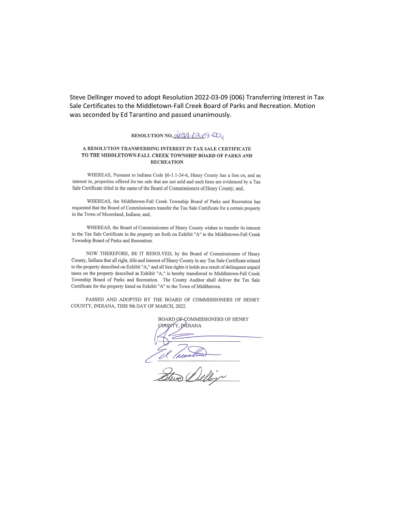Steve Dellinger moved to adopt Resolution 2022-03-09 (006) Transferring Interest in Tax Sale Certificates to the Middletown-Fall Creek Board of Parks and Recreation. Motion was seconded by Ed Tarantino and passed unanimously.

## RESOLUTION NO.  $\overrightarrow{\mathcal{A}} \mathcal{D} \overrightarrow{\mathcal{A}} \cdot \overrightarrow{\mathcal{D}} \cdot \overrightarrow{\mathcal{D}} \cdot \overrightarrow{\mathcal{C}}$

#### A RESOLUTION TRANSFERRING INTEREST IN TAX SALE CERTIFICATE TO THE MIDDLETOWN-FALL CREEK TOWNSHIP BOARD OF PARKS AND **RECREATION**

WHEREAS, Pursuant to Indiana Code §6-1.1-24-6, Henry County has a lien on, and an interest in, properties offered for tax sale that are not sold and such liens are evidenced by a Tax Sale Certificate titled in the name of the Board of Commissioners of Henry County; and,

WHEREAS, the Middletown-Fall Creek Township Board of Parks and Recreation has requested that the Board of Commissioners transfer the Tax Sale Certificate for a certain property in the Town of Mooreland, Indiana; and,

WHEREAS, the Board of Commissioners of Henry County wishes to transfer its interest in the Tax Sale Certificate in the property set forth on Exhibit "A" to the Middletown-Fall Creek Township Board of Parks and Recreation.

NOW THEREFORE, BE IT RESOLVED, by the Board of Commissioners of Henry County, Indiana that all right, title and interest of Henry County in any Tax Sale Certificate related to the property described on Exhibit "A," and all lien rights it holds as a result of delinquent unpaid taxes on the property described as Exhibit "A," is hereby transferred to Middletown-Fall Creek Township Board of Parks and Recreation. The County Auditor shall deliver the Tax Sale Certificate for the property listed on Exhibit "A" to the Town of Middletown.

PASSED AND ADOPTED BY THE BOARD OF COMMISSIONERS OF HENRY COUNTY, INDIANA, THIS 9th DAY OF MARCH, 2022.

BOARD OF COMMISSIONERS OF HENRY COUNTY, IMDIANA El Tuestion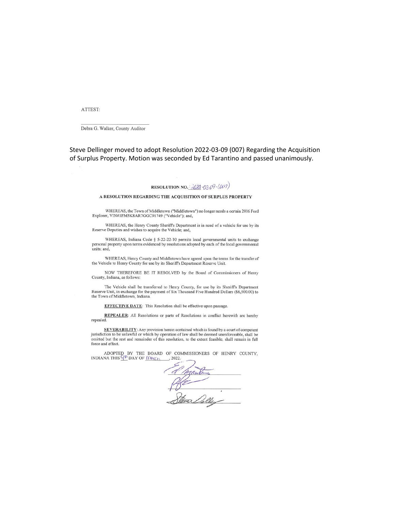ATTEST:

Debra G. Walker, County Auditor

Steve Dellinger moved to adopt Resolution 2022-03-09 (007) Regarding the Acquisition of Surplus Property. Motion was seconded by Ed Tarantino and passed unanimously.

### RESOLUTION NO.  $\frac{1022}{1030}$  -03 O - (007)

#### A RESOLUTION REGARDING THE ACQUISITION OF SURPLUS PROPERTY

WHEREAS, the Town of Middletown ("Middletown") no longer needs a certain 2016 Ford Explorer, VIN#1FM5K8AR7GGC91749 ("Vehicle"); and,

WHEREAS, the Henry County Sheriff's Department is in need of a vehicle for use by its Reserve Deputies and wishes to acquire the Vehicle; and,

WHEREAS, Indiana Code § 5-22-22-10 permits local governmental units to exchange personal property upon terms evidenced by resolutions adopted by each of the local governmental units; and,

WHEREAS, Henry County and Middletown have agreed upon the terms for the transfer of the Vehicle to Henry County for use by its Sheriff's Department Reserve Unit.

NOW THEREFORE BE IT RESOLVED by the Board of Commissioners of Henry County, Indiana, as follows:

The Vehicle shall be transferred to Henry County, for use by its Sheriff's Department Reserve Unit, in exchange for the payment of Six Thousand Five Hundred Dollars (\$6,500.00) to the Town of Middletown, Indiana.

**EFFECTIVE DATE:** This Resolution shall be effective upon passage.

REPEALER: All Resolutions or parts of Resolutions in conflict herewith are hereby repealed.

**SEVERABILITY:** Any provision herein contained which is found by a court of competent jurisdiction to be unlawful or which by operation of law shall be deemed unenforceable, shall be<br>omitted but the rest and remainder of this resolution, to the extent feasible, shall remain in full force and effect.

ADOPTED BY THE BOARD OF COMMISSIONERS OF HENRY COUNTY, INDIANA THIS  $\frac{d^{(p)}}{d}$  DAY OF  $\bigcap_{p \in C_{\mathcal{D}}} 2022.$  $\rightarrow$  2022.